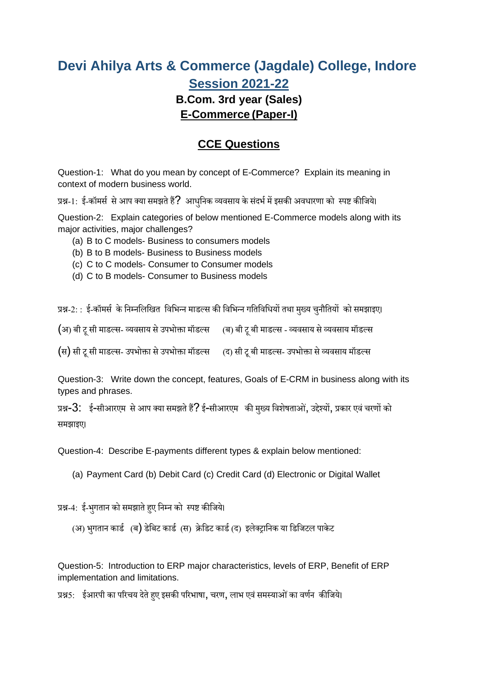## **Devi Ahilya Arts & Commerce (Jagdale) College, Indore Session 2021-22 B.Com. 3rd year (Sales) E-Commerce (Paper-I)**

## **CCE Questions**

Question-1: What do you mean by concept of E-Commerce? Explain its meaning in context of modern business world.

प्रश्न-1: ई-कॉमर्स से आप क्या समझते हैं? आधुनिक व्यवसाय के संदर्भ में इसकी अवधारणा को स्पष्ट कीजिये।

Question-2: Explain categories of below mentioned E-Commerce models along with its major activities, major challenges?

- (a) B to C models- Business to consumers models
- (b) B to B models- Business to Business models
- (c) C to C models- Consumer to Consumer models
- (d) C to B models- Consumer to Business models

प्रश्न-2: : ई-कॉमर्स के निम्नलिखित विभिन्न माडल्स की विभिन्न गतिविधियों तथा मुख्य चुनौतियों को समझाइए।

(अ) बी टू सी माडल्स- व्यवसाय से उपभोक्ता मॉडल्स (ब) बी टू बी माडल्स - व्यवसाय से व्यवसाय मॉडल्स

(स) सी टू सी माडल्स- उपभोक्ता से उपभोक्ता मॉडल्स (द) सी टू बी माडल्स- उपभोक्ता से व्यवसाय मॉडल्स

Question-3: Write down the concept, features, Goals of E-CRM in business along with its types and phrases.

प्रश्न- $3:$  ई-सीआरएम से आप क्या समझते हैं? ई-सीआरएम की मुख्य विशेषताओं, उद्देश्यों, प्रकार एवं चरणों को र्मझाइए।

Question-4: Describe E-payments different types & explain below mentioned:

(a) Payment Card (b) Debit Card (c) Credit Card (d) Electronic or Digital Wallet

प्रश्न-4: ई-भुगतान को समझाते हुए निम्न को स्पष्ट कीजिये।

(अ) भुगतान कार्ड (ब) डेबिट कार्ड (स) क्रेडिट कार्ड (द) इलेक्ट्रानिक या डिजिटल पाकेट

Question-5: Introduction to ERP major characteristics, levels of ERP, Benefit of ERP implementation and limitations.

प्रश्न5: ईआरपी का परिचय देते हुए इसकी परिभाषा, चरण, लाभ एवं समस्याओं का वर्णन कीजिये।